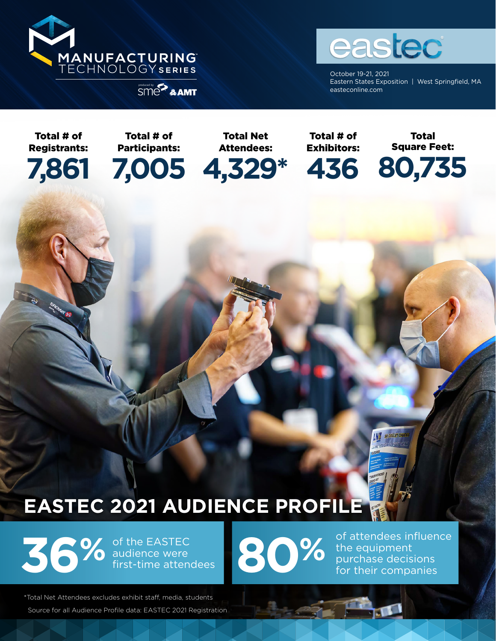



October 19-21, 2021 Eastern States Exposition | West Springfield, MA externi states Externi States Externi States Externi States Externi States Externi States Externi States Externi

Total # of Registrants:

**7,861**

**CONTRACTOR** 

Participants:

Total # of

Total Net Attendees:

**7,005 4,329\***

Total # of Exhibitors:

**436**

Total Square Feet: **80,735**

# **EASTEC 2021 AUDIENCE PROFILE**

**36%** of the EASTEC audience were first-time attendees **80%** of attendees influence the equipment purchase decisions for their companies of the EASTEC audience were first-time attendees

the equipment purchase decisions for their companies

**ING** SK COLLET CHI

\*Total Net Attendees excludes exhibit staff, media, students Source for all Audience Profile data: EASTEC 2021 Registration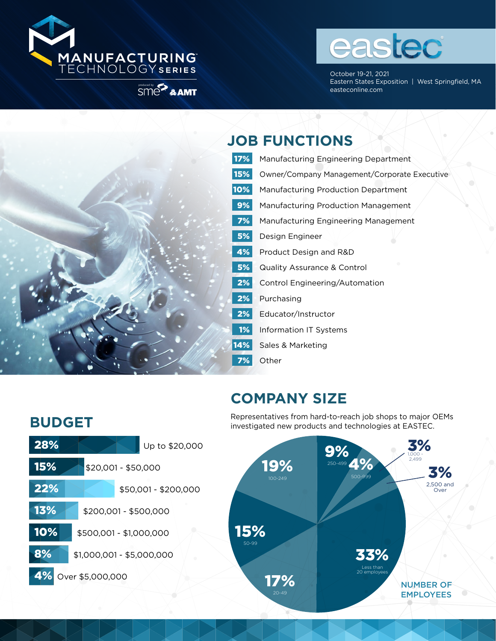



October 19-21, 2021 Eastern States Exposition | West Springfield, MA external extending of the state of the state of the state of the state of the state of the state of the state of the state of the state of the state of the state of the state of the state of the state of the state of the s



#### **JOB FUNCTIONS**

17% Manufacturing Engineering Department 15% Owner/Company Management/Corporate Executive **10%** Manufacturing Production Department **9%** Manufacturing Production Management **7%** Manufacturing Engineering Management **5%** Design Engineer **4%** Product Design and R&D **5%** Quality Assurance & Control 2% Control Engineering/Automation 2% Purchasing 2% Educator/Instructor 1% Information IT Systems 14% Sales & Marketing 7% Other

## **COMPANY SIZE**

## **BUDGET**



Representatives from hard-to-reach job shops to major OEMs investigated new products and technologies at EASTEC.